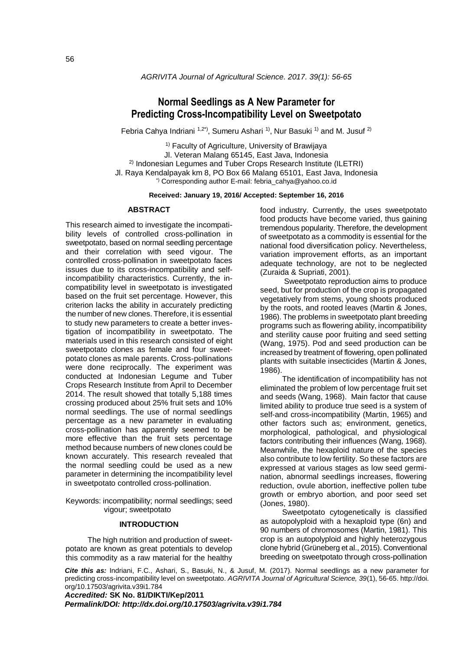# **Normal Seedlings as A New Parameter for Predicting Cross-Incompatibility Level on Sweetpotato**

Febria Cahya Indriani <sup>1,2\*)</sup>, Sumeru Ashari <sup>1)</sup>, Nur Basuki <sup>1)</sup> and M. Jusuf <sup>2)</sup>

<sup>1)</sup> Faculty of Agriculture, University of Brawijaya Jl. Veteran Malang 65145, East Java, Indonesia  $2)$  Indonesian Legumes and Tuber Crops Research Institute (ILETRI) Jl. Raya Kendalpayak km 8, PO Box 66 Malang 65101, East Java, Indonesia \*) Corresponding author E-mail: febria\_cahya@yahoo.co.id

**Received: January 19, 2016/ Accepted: September 16, 2016**

#### **ABSTRACT**

This research aimed to investigate the incompatibility levels of controlled cross-pollination in sweetpotato, based on normal seedling percentage and their correlation with seed vigour. The controlled cross-pollination in sweetpotato faces issues due to its cross-incompatibility and selfincompatibility characteristics. Currently, the incompatibility level in sweetpotato is investigated based on the fruit set percentage. However, this criterion lacks the ability in accurately predicting the number of new clones. Therefore, it is essential to study new parameters to create a better investigation of incompatibility in sweetpotato. The materials used in this research consisted of eight sweetpotato clones as female and four sweetpotato clones as male parents. Cross-pollinations were done reciprocally. The experiment was conducted at Indonesian Legume and Tuber Crops Research Institute from April to December 2014. The result showed that totally 5,188 times crossing produced about 25% fruit sets and 10% normal seedlings. The use of normal seedlings percentage as a new parameter in evaluating cross-pollination has apparently seemed to be more effective than the fruit sets percentage method because numbers of new clones could be known accurately. This research revealed that the normal seedling could be used as a new parameter in determining the incompatibility level in sweetpotato controlled cross-pollination.

Keywords: incompatibility; normal seedlings; seed vigour; sweetpotato

## **INTRODUCTION**

The high nutrition and production of sweetpotato are known as great potentials to develop this commodity as a raw material for the healthy food industry. Currently, the uses sweetpotato food products have become varied, thus gaining tremendous popularity. Therefore, the development of sweetpotato as a commodity is essential for the national food diversification policy. Nevertheless, variation improvement efforts, as an important adequate technology, are not to be neglected (Zuraida & Supriati, 2001).

Sweetpotato reproduction aims to produce seed, but for production of the crop is propagated vegetatively from stems, young shoots produced by the roots, and rooted leaves (Martin & Jones, 1986). The problems in sweetpotato plant breeding programs such as flowering ability, incompatibility and sterility cause poor fruiting and seed setting (Wang, 1975). Pod and seed production can be increased by treatment of flowering, open pollinated plants with suitable insecticides (Martin & Jones, 1986).

The identification of incompatibility has not eliminated the problem of low percentage fruit set and seeds (Wang, 1968). Main factor that cause limited ability to produce true seed is a system of self-and cross-incompatibility (Martin, 1965) and other factors such as; environment, genetics, morphological, pathological, and physiological factors contributing their influences (Wang, 1968). Meanwhile, the hexaploid nature of the species also contribute to low fertility. So these factors are expressed at various stages as low seed germination, abnormal seedlings increases, flowering reduction, ovule abortion, ineffective pollen tube growth or embryo abortion, and poor seed set (Jones, 1980).

Sweetpotato cytogenetically is classified as autopolyploid with a hexaploid type (6n) and 90 numbers of chromosomes (Martin, 1981). This crop is an autopolyploid and highly heterozygous clone hybrid (Grüneberg et al., 2015). Conventional breeding on sweetpotato through cross-pollination

*Cite this as:* Indriani, F.C., Ashari, S., Basuki, N., & Jusuf, M. (2017). Normal seedlings as a new parameter for predicting cross-incompatibility level on sweetpotato. *AGRIVITA Journal of Agricultural Science, 39*(1), 56-65[. http://doi.](http://doi/) org/10.17503/agrivita.v39i1.784

*Accredited:* **SK No. 81/DIKTI/Kep/2011** *Permalink/DOI: http://dx.doi.org/10.17503/agrivita.v39i1.784*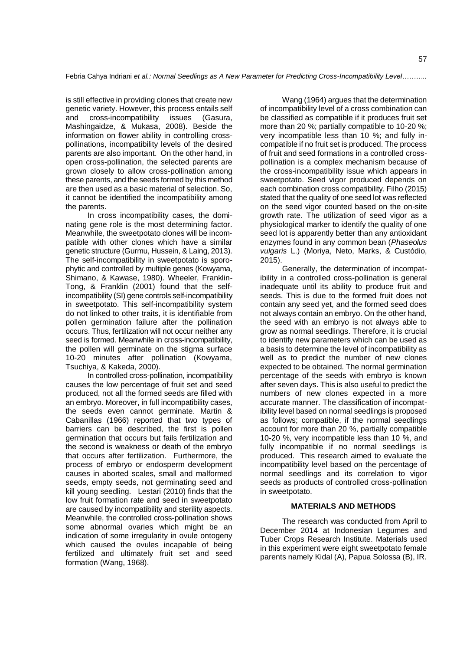is still effective in providing clones that create new genetic variety. However, this process entails self and cross-incompatibility issues (Gasura, Mashingaidze, & Mukasa, 2008). Beside the information on flower ability in controlling crosspollinations, incompatibility levels of the desired parents are also important. On the other hand, in open cross-pollination, the selected parents are grown closely to allow cross-pollination among these parents, and the seeds formed by this method are then used as a basic material of selection. So, it cannot be identified the incompatibility among the parents.

In cross incompatibility cases, the dominating gene role is the most determining factor. Meanwhile, the sweetpotato clones will be incompatible with other clones which have a similar genetic structure (Gurmu, Hussein, & Laing, 2013). The self-incompatibility in sweetpotato is sporophytic and controlled by multiple genes (Kowyama, Shimano, & Kawase, 1980). Wheeler, Franklin-Tong, & Franklin (2001) found that the selfincompatibility (SI) gene controls self-incompatibility in sweetpotato. This self-incompatibility system do not linked to other traits, it is identifiable from pollen germination failure after the pollination occurs. Thus, fertilization will not occur neither any seed is formed. Meanwhile in cross-incompatibility, the pollen will germinate on the stigma surface 10-20 minutes after pollination (Kowyama, Tsuchiya, & Kakeda, 2000).

In controlled cross-pollination, incompatibility causes the low percentage of fruit set and seed produced, not all the formed seeds are filled with an embryo. Moreover, in full incompatibility cases, the seeds even cannot germinate. Martin & Cabanillas (1966) reported that two types of barriers can be described, the first is pollen germination that occurs but fails fertilization and the second is weakness or death of the embryo that occurs after fertilization. Furthermore, the process of embryo or endosperm development causes in aborted scales, small and malformed seeds, empty seeds, not germinating seed and kill young seedling. Lestari (2010) finds that the low fruit formation rate and seed in sweetpotato are caused by incompatibility and sterility aspects. Meanwhile, the controlled cross-pollination shows some abnormal ovaries which might be an indication of some irregularity in ovule ontogeny which caused the ovules incapable of being fertilized and ultimately fruit set and seed formation (Wang, 1968).

Wang (1964) argues that the determination of incompatibility level of a cross combination can be classified as compatible if it produces fruit set more than 20 %; partially compatible to 10-20 %; very incompatible less than 10 %; and fully incompatible if no fruit set is produced. The process of fruit and seed formations in a controlled crosspollination is a complex mechanism because of the cross-incompatibility issue which appears in sweetpotato. Seed vigor produced depends on each combination cross compatibility. Filho (2015) stated that the quality of one seed lot was reflected on the seed vigor counted based on the on-site growth rate. The utilization of seed vigor as a physiological marker to identify the quality of one seed lot is apparently better than any antioxidant enzymes found in any common bean (*Phaseolus vulgaris* L.) (Moriya, Neto, Marks, & Custódio, 2015).

Generally, the determination of incompatibility in a controlled cross-pollination is general inadequate until its ability to produce fruit and seeds. This is due to the formed fruit does not contain any seed yet, and the formed seed does not always contain an embryo. On the other hand, the seed with an embryo is not always able to grow as normal seedlings. Therefore, it is crucial to identify new parameters which can be used as a basis to determine the level of incompatibility as well as to predict the number of new clones expected to be obtained. The normal germination percentage of the seeds with embryo is known after seven days. This is also useful to predict the numbers of new clones expected in a more accurate manner. The classification of incompatibility level based on normal seedlings is proposed as follows; compatible, if the normal seedlings account for more than 20 %, partially compatible 10-20 %, very incompatible less than 10 %, and fully incompatible if no normal seedlings is produced. This research aimed to evaluate the incompatibility level based on the percentage of normal seedlings and its correlation to vigor seeds as products of controlled cross-pollination in sweetpotato.

## **MATERIALS AND METHODS**

The research was conducted from April to December 2014 at Indonesian Legumes and Tuber Crops Research Institute. Materials used in this experiment were eight sweetpotato female parents namely Kidal (A), Papua Solossa (B), IR.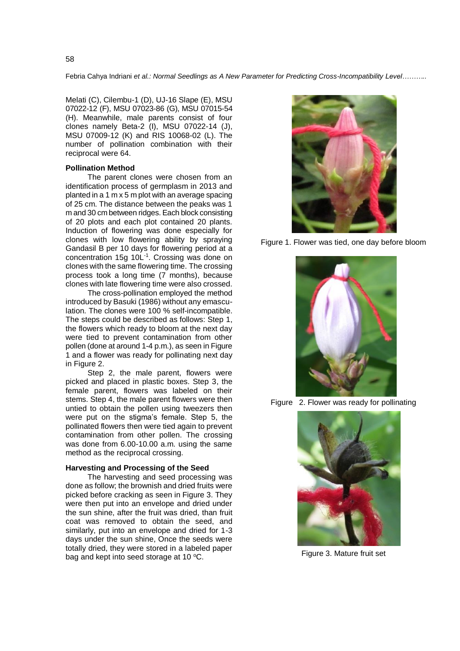Melati (C), Cilembu-1 (D), UJ-16 Slape (E), MSU 07022-12 (F), MSU 07023-86 (G), MSU 07015-54 (H). Meanwhile, male parents consist of four clones namely Beta-2 (I), MSU 07022-14 (J), MSU 07009-12 (K) and RIS 10068-02 (L). The number of pollination combination with their reciprocal were 64.

### **Pollination Method**

The parent clones were chosen from an identification process of germplasm in 2013 and planted in a 1 m x 5 m plot with an average spacing of 25 cm. The distance between the peaks was 1 m and 30 cm between ridges. Each block consisting of 20 plots and each plot contained 20 plants. Induction of flowering was done especially for clones with low flowering ability by spraying Gandasil B per 10 days for flowering period at a concentration 15g 10L-1 . Crossing was done on clones with the same flowering time. The crossing process took a long time (7 months), because clones with late flowering time were also crossed.

The cross-pollination employed the method introduced by Basuki (1986) without any emasculation. The clones were 100 % self-incompatible. The steps could be described as follows: Step 1, the flowers which ready to bloom at the next day were tied to prevent contamination from other pollen (done at around 1-4 p.m.), as seen in Figure 1 and a flower was ready for pollinating next day in Figure 2.

Step 2, the male parent, flowers were picked and placed in plastic boxes. Step 3, the female parent, flowers was labeled on their stems. Step 4, the male parent flowers were then untied to obtain the pollen using tweezers then were put on the stigma's female. Step 5, the pollinated flowers then were tied again to prevent contamination from other pollen. The crossing was done from 6.00-10.00 a.m. using the same method as the reciprocal crossing.

#### **Harvesting and Processing of the Seed**

The harvesting and seed processing was done as follow; the brownish and dried fruits were picked before cracking as seen in Figure 3. They were then put into an envelope and dried under the sun shine, after the fruit was dried, than fruit coat was removed to obtain the seed, and similarly, put into an envelope and dried for 1-3 days under the sun shine, Once the seeds were totally dried, they were stored in a labeled paper bag and kept into seed storage at 10  $^{\circ}$ C.



Figure 1. Flower was tied, one day before bloom



Figure 2. Flower was ready for pollinating



Figure 3. Mature fruit set

58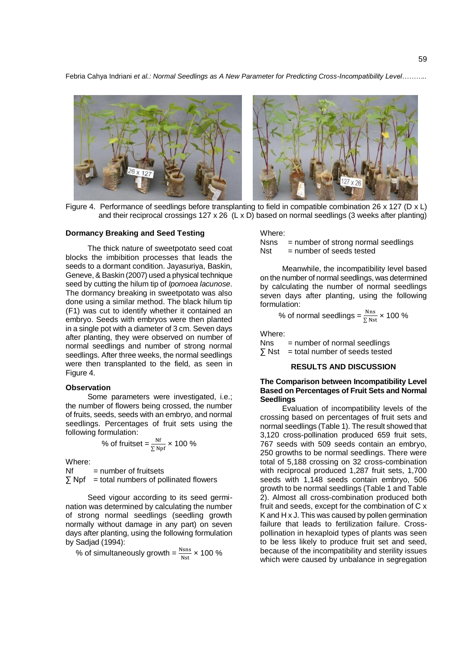

Figure 4. Performance of seedlings before transplanting to field in compatible combination 26 x 127 (D x L) and their reciprocal crossings 127 x 26 (L x D) based on normal seedlings (3 weeks after planting)

## **Dormancy Breaking and Seed Testing**

The thick nature of sweetpotato seed coat blocks the imbibition processes that leads the seeds to a dormant condition. Jayasuriya, Baskin, Geneve, & Baskin (2007) used a physical technique seed by cutting the hilum tip of *Ipomoea lacunose*. The dormancy breaking in sweetpotato was also done using a similar method. The black hilum tip (F1) was cut to identify whether it contained an embryo. Seeds with embryos were then planted in a single pot with a diameter of 3 cm. Seven days after planting, they were observed on number of normal seedlings and number of strong normal seedlings. After three weeks, the normal seedlings were then transplanted to the field, as seen in Figure 4.

#### **Observation**

Some parameters were investigated, *i.e.*; the number of flowers being crossed, the number of fruits, seeds, seeds with an embryo, and normal seedlings. Percentages of fruit sets using the following formulation:

% of fruitset = 
$$
\frac{\text{Nf}}{\Sigma \text{Npf}}
$$
 x 100 %

Where:

 $Nf$  = number of fruitsets

 $\sum$  Npf = total numbers of pollinated flowers

Seed vigour according to its seed germination was determined by calculating the number of strong normal seedlings (seedling growth normally without damage in any part) on seven days after planting, using the following formulation by Sadjad (1994):

% of simultaneously growth =  $\frac{Nsns}{Nst}$  × 100 %

Where:

Nsns = number of strong normal seedlings

 $Nst$  = number of seeds tested

Meanwhile, the incompatibility level based on the number of normal seedlings, was determined by calculating the number of normal seedlings seven days after planting, using the following formulation:

% of normal seedlings = 
$$
\frac{Nns}{\sum Nst}
$$
 x 100 %

Where:

Nns = number of normal seedlings

 $\sum$  Nst = total number of seeds tested

#### **RESULTS AND DISCUSSION**

## **The Comparison between Incompatibility Level Based on Percentages of Fruit Sets and Normal Seedlings**

Evaluation of incompatibility levels of the crossing based on percentages of fruit sets and normal seedlings (Table 1). The result showed that 3,120 cross-pollination produced 659 fruit sets, 767 seeds with 509 seeds contain an embryo, 250 growths to be normal seedlings. There were total of 5,188 crossing on 32 cross-combination with reciprocal produced 1,287 fruit sets, 1,700 seeds with 1,148 seeds contain embryo, 506 growth to be normal seedlings (Table 1 and Table 2). Almost all cross-combination produced both fruit and seeds, except for the combination of C x K and H x J. This was caused by pollen germination failure that leads to fertilization failure. Crosspollination in hexaploid types of plants was seen to be less likely to produce fruit set and seed, because of the incompatibility and sterility issues which were caused by unbalance in segregation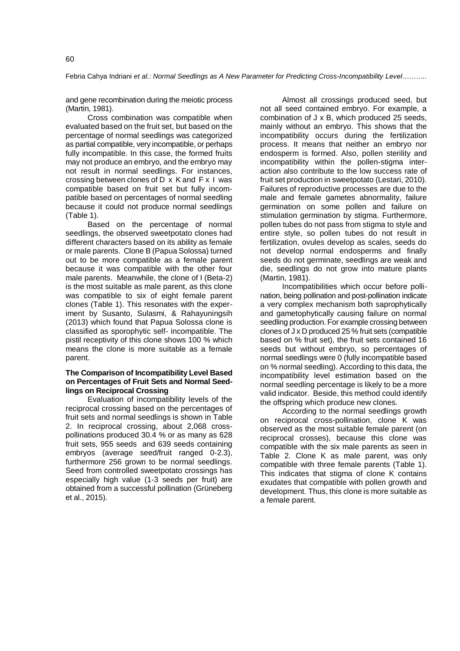and gene recombination during the meiotic process (Martin, 1981).

Cross combination was compatible when evaluated based on the fruit set, but based on the percentage of normal seedlings was categorized as partial compatible, very incompatible, or perhaps fully incompatible. In this case, the formed fruits may not produce an embryo, and the embryo may not result in normal seedlings. For instances, crossing between clones of  $D \times K$  and  $F \times I$  was compatible based on fruit set but fully incompatible based on percentages of normal seedling because it could not produce normal seedlings (Table 1).

Based on the percentage of normal seedlings, the observed sweetpotato clones had different characters based on its ability as female or male parents. Clone B (Papua Solossa) turned out to be more compatible as a female parent because it was compatible with the other four male parents. Meanwhile, the clone of I (Beta-2) is the most suitable as male parent, as this clone was compatible to six of eight female parent clones (Table 1). This resonates with the experiment by Susanto, Sulasmi, & Rahayuningsih (2013) which found that Papua Solossa clone is classified as sporophytic self- incompatible. The pistil receptivity of this clone shows 100 % which means the clone is more suitable as a female parent.

## **The Comparison of Incompatibility Level Based on Percentages of Fruit Sets and Normal Seedlings on Reciprocal Crossing**

Evaluation of incompatibility levels of the reciprocal crossing based on the percentages of fruit sets and normal seedlings is shown in Table 2. In reciprocal crossing, about 2,068 crosspollinations produced 30.4 % or as many as 628 fruit sets, 955 seeds and 639 seeds containing embryos (average seed/fruit ranged 0-2.3), furthermore 256 grown to be normal seedlings. Seed from controlled sweetpotato crossings has especially high value (1-3 seeds per fruit) are obtained from a successful pollination (Grüneberg et al., 2015).

Almost all crossings produced seed, but not all seed contained embryo. For example, a combination of J x B, which produced 25 seeds, mainly without an embryo. This shows that the incompatibility occurs during the fertilization process. It means that neither an embryo nor endosperm is formed. Also, pollen sterility and incompatibility within the pollen-stigma interaction also contribute to the low success rate of fruit set production in sweetpotato (Lestari, 2010). Failures of reproductive processes are due to the male and female gametes abnormality, failure germination on some pollen and failure on stimulation germination by stigma. Furthermore, pollen tubes do not pass from stigma to style and entire style, so pollen tubes do not result in fertilization, ovules develop as scales, seeds do not develop normal endosperms and finally seeds do not germinate, seedlings are weak and die, seedlings do not grow into mature plants (Martin, 1981).

Incompatibilities which occur before pollination, being pollination and post-pollination indicate a very complex mechanism both saprophytically and gametophytically causing failure on normal seedling production. For example crossing between clones of J x D produced 25 % fruit sets (compatible based on % fruit set), the fruit sets contained 16 seeds but without embryo, so percentages of normal seedlings were 0 (fully incompatible based on % normal seedling). According to this data, the incompatibility level estimation based on the normal seedling percentage is likely to be a more valid indicator. Beside, this method could identify the offspring which produce new clones.

According to the normal seedlings growth on reciprocal cross-pollination, clone K was observed as the most suitable female parent (on reciprocal crosses), because this clone was compatible with the six male parents as seen in Table 2. Clone K as male parent, was only compatible with three female parents (Table 1). This indicates that stigma of clone K contains exudates that compatible with pollen growth and development. Thus, this clone is more suitable as a female parent.

60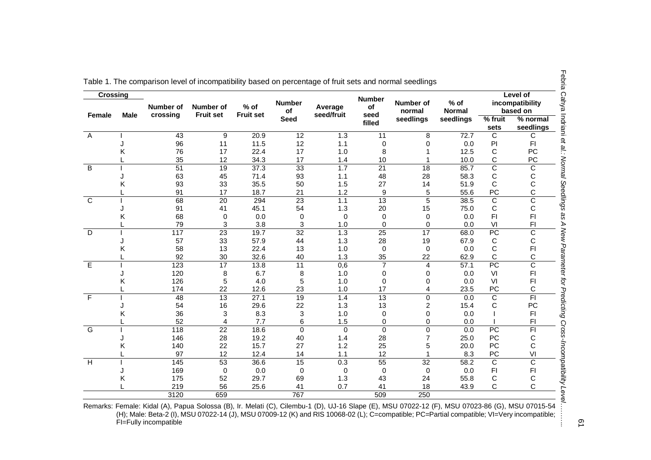| <b>Female</b><br>Α<br>Κ<br>B<br>Κ<br>κ | Male | crossing<br>43<br>96<br>76<br>35<br>51<br>63<br>93 | <b>Fruit set</b><br>9<br>11<br>17<br>12<br>19<br>45 | <b>Fruit set</b><br>20.9<br>11.5<br>22.4<br>34.3 | <b>Seed</b><br>12<br>12<br>17 | seed/fruit<br>1.3<br>1.1 | seed<br>filled<br>11 | seedlings<br>8  | seedlings<br>72.7 | $%$ fruit<br>sets | % normal<br>seedlings |
|----------------------------------------|------|----------------------------------------------------|-----------------------------------------------------|--------------------------------------------------|-------------------------------|--------------------------|----------------------|-----------------|-------------------|-------------------|-----------------------|
|                                        |      |                                                    |                                                     |                                                  |                               |                          |                      |                 |                   |                   |                       |
|                                        |      |                                                    |                                                     |                                                  |                               |                          |                      |                 |                   | C                 | С                     |
|                                        |      |                                                    |                                                     |                                                  |                               |                          | 0                    | $\Omega$        | 0.0               | ${\sf Pl}$        | F <sub>1</sub>        |
|                                        |      |                                                    |                                                     |                                                  |                               | 1.0                      | 8                    |                 | 12.5              | С                 | <b>PC</b>             |
|                                        |      |                                                    |                                                     |                                                  | 17                            | 1.4                      | 10                   |                 | 10.0              | С                 | PC                    |
|                                        |      |                                                    |                                                     | 37.3                                             | 33                            | 1.7                      | $\overline{21}$      | 18              | 85.7              | C                 | C                     |
|                                        |      |                                                    |                                                     | 71.4                                             | 93                            | 1.1                      | 48                   | 28              | 58.3              | С                 | С                     |
|                                        |      |                                                    | 33                                                  | 35.5                                             | 50                            | 1.5                      | 27                   | 14              | 51.9              | C                 | C                     |
| $\overline{C}$                         |      | 91                                                 | 17                                                  | 18.7                                             | 21                            | 1.2                      | 9                    | 5               | 55.6              | PC                | C                     |
|                                        |      | 68                                                 | 20                                                  | 294                                              | 23                            | 1.1                      | $\overline{13}$      | $\overline{5}$  | 38.5              | C                 | C                     |
|                                        |      | 91                                                 | 41                                                  | 45.1                                             | 54                            | 1.3                      | 20                   | 15              | 75.0              | С                 | C                     |
|                                        |      | 68                                                 | 0                                                   | 0.0                                              | $\Omega$                      | 0                        | 0                    | $\Omega$        | 0.0               | F <sub>1</sub>    | F <sub>1</sub>        |
|                                        |      | 79                                                 | 3                                                   | 3.8                                              | 3                             | 1.0                      | 0                    | 0               | 0.0               | VI                | F <sub>1</sub>        |
| D                                      |      | 117                                                | $\overline{23}$                                     | 19.7                                             | $\overline{32}$               | 1.3                      | 25                   | $\overline{17}$ | 68.0              | PC                | C                     |
|                                        |      | 57                                                 | 33                                                  | 57.9                                             | 44                            | 1.3                      | 28                   | 19              | 67.9              | С                 | С                     |
| κ                                      |      | 58                                                 | 13                                                  | 22.4                                             | 13                            | 1.0                      | 0                    | 0               | 0.0               | C                 | F <sub>1</sub>        |
|                                        |      | 92                                                 | 30                                                  | 32.6                                             | 40                            | 1.3                      | 35                   | 22              | 62.9              | C                 | C                     |
| E                                      |      | $\overline{123}$                                   | 17                                                  | 13.8                                             | $\overline{11}$               | 0,6                      | $\overline{7}$       | 4               | 57.1              | PC                | $\overline{\text{c}}$ |
|                                        |      | 120                                                | 8                                                   | 6.7                                              | 8                             | 1.0                      | 0                    | 0               | 0.0               | VI                | F1                    |
| Κ                                      |      | 126                                                | 5                                                   | 4.0                                              | 5                             | 1.0                      | 0                    | 0               | 0.0               | VI                | F <sub>1</sub>        |
|                                        |      | 174                                                | 22                                                  | 12.6                                             | 23                            | 1.0                      | 17                   | 4               | 23.5              | PC                | C                     |
| F                                      |      | $\overline{48}$                                    | 13                                                  | 27.1                                             | 19                            | 1.4                      | 13                   | $\Omega$        | 0.0               | C                 | $\overline{F}$        |
|                                        |      | 54                                                 | 16                                                  | 29.6                                             | 22                            | 1.3                      | 13                   | 2               | 15.4              | С                 | PC                    |
| κ                                      |      | 36                                                 | 3                                                   | 8.3                                              | 3                             | 1.0                      | 0                    | 0               | 0.0               |                   | F <sub>1</sub>        |
|                                        |      | 52                                                 | 4                                                   | 7.7                                              | 6                             | 1.5                      | 0                    | 0               | 0.0               |                   | F <sub>1</sub>        |
| $\overline{G}$                         |      | 118                                                | $\overline{22}$                                     | 18.6                                             | $\mathbf 0$                   | $\mathbf 0$              | $\overline{0}$       | $\mathbf 0$     | 0.0               | $\overline{PC}$   | $\overline{F}$        |
|                                        |      | 146                                                | 28                                                  | 19.2                                             | 40                            | 1.4                      | 28                   | $\overline{7}$  | 25.0              | PC                | С                     |
| κ                                      |      | 140                                                | 22                                                  | 15.7                                             | 27                            | 1.2                      | 25                   | 5               | 20.0              | <b>PC</b>         | C                     |
|                                        |      | 97                                                 | 12                                                  | 12.4                                             | 14                            | 1.1                      | 12                   |                 | 8.3               | PC                | VI                    |
| $\overline{H}$                         |      | 145                                                | $\overline{53}$                                     | 36.6                                             | 15                            | 0.3                      | 55                   | $\overline{32}$ | 58.2              | C                 | $\overline{\text{c}}$ |
|                                        |      | 169                                                | 0                                                   | 0.0                                              | 0                             | 0                        | 0                    | 0               | 0.0               | F <sub>1</sub>    | F <sub>1</sub>        |
| Κ                                      |      | 175                                                | 52                                                  | 29.7                                             | 69                            | 1.3                      | 43                   | 24              | 55.8              | С                 | С                     |
|                                        |      | 219                                                | 56                                                  | 25.6                                             | 41                            | 0.7                      | 41                   | 18              | 43.9              | С                 | C                     |
|                                        |      | 3120                                               | 659                                                 |                                                  | 767                           |                          | 509                  | 250             |                   |                   |                       |

|  |  |  | Table 1. The comparison level of incompatibility based on percentage of fruit sets and normal seedlings |
|--|--|--|---------------------------------------------------------------------------------------------------------|
|  |  |  |                                                                                                         |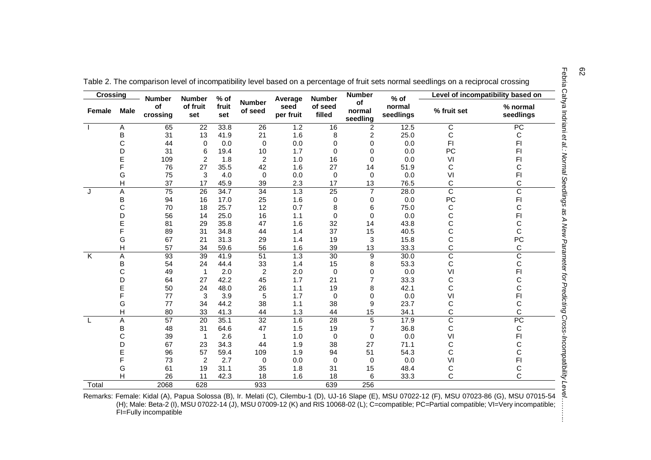| <b>Crossing</b>         |                | <b>Number</b>   | <b>Number</b>   | % of         |                          | Average           | <b>Number</b>     | <b>Number</b>            | $%$ of              | Level of incompatibility based on |                       |
|-------------------------|----------------|-----------------|-----------------|--------------|--------------------------|-------------------|-------------------|--------------------------|---------------------|-----------------------------------|-----------------------|
| Female                  | <b>Male</b>    | of<br>crossing  | of fruit<br>set | fruit<br>set | <b>Number</b><br>of seed | seed<br>per fruit | of seed<br>filled | of<br>normal<br>seedling | normal<br>seedlings | % fruit set                       | % normal<br>seedlings |
|                         | Α              | 65              | 22              | 33.8         | 26                       | 1.2               | 16                | $\overline{c}$           | 12.5                | C                                 | $\overline{PC}$       |
|                         | B              | 31              | 13              | 41.9         | 21                       | 1.6               | 8                 | 2                        | 25.0                | С                                 | С                     |
|                         | C              | 44              | 0               | 0.0          | 0                        | 0.0               | 0                 | 0                        | 0.0                 | F <sub>1</sub>                    | FI                    |
|                         | D              | 31              | 6               | 19.4         | 10                       | 1.7               | 0                 | 0                        | 0.0                 | PC                                | FI                    |
|                         | E              | 109             | 2               | 1.8          | $\overline{c}$           | 1.0               | 16                | 0                        | 0.0                 | VI                                | FI                    |
|                         | F              | 76              | 27              | 35.5         | 42                       | 1.6               | 27                | 14                       | 51.9                | С                                 | С                     |
|                         | G              | 75              | 3               | 4.0          | 0                        | 0.0               | 0                 | $\mathbf 0$              | 0.0                 | VI                                | FI                    |
|                         | Н              | 37              | 17              | 45.9         | 39                       | 2.3               | 17                | 13                       | 76.5                | С                                 | C                     |
| J                       | A              | 75              | 26              | 34.7         | $\overline{34}$          | 1.3               | $\overline{25}$   | $\overline{7}$           | 28.0                | $\overline{\text{c}}$             | $\overline{\text{c}}$ |
|                         | B              | 94              | 16              | 17.0         | 25                       | 1.6               | 0                 | 0                        | 0.0                 | PC                                | FI                    |
|                         | C              | 70              | 18              | 25.7         | 12                       | 0.7               | 8                 | 6                        | 75.0                | С                                 | C                     |
|                         | D              | 56              | 14              | 25.0         | 16                       | 1.1               | 0                 | 0                        | 0.0                 | C                                 | FI                    |
|                         |                | 81              | 29              | 35.8         | 47                       | 1.6               | 32                | 14                       | 43.8                | С                                 | С                     |
|                         | F              | 89              | 31              | 34.8         | 44                       | 1.4               | 37                | 15                       | 40.5                | C                                 | C                     |
|                         | G              | 67              | 21              | 31.3         | 29                       | 1.4               | 19                | 3                        | 15.8                | С                                 | PC                    |
|                         | H              | 57              | 34              | 59.6         | 56                       | 1.6               | 39                | 13                       | 33.3                | Ċ                                 | C                     |
| $\overline{\mathsf{K}}$ | A              | 93              | $\overline{39}$ | 41.9         | $\overline{51}$          | 1.3               | $\overline{30}$   | $\boldsymbol{9}$         | 30.0                | $\overline{\rm c}$                | $\overline{\text{c}}$ |
|                         | B              | 54              | 24              | 44.4         | 33                       | 1.4               | 15                | 8                        | 53.3                | С                                 | С                     |
|                         | C              | 49              |                 | 2.0          | 2                        | 2.0               | 0                 | 0                        | 0.0                 | VI                                | FI                    |
|                         | D              | 64              | 27              | 42.2         | 45                       | 1.7               | 21                | 7                        | 33.3                | С                                 | С                     |
|                         | E              | 50              | 24              | 48.0         | 26                       | 1.1               | 19                | 8                        | 42.1                | С                                 | C                     |
|                         | F              | 77              | 3               | 3.9          | 5                        | 1.7               | 0                 | 0                        | 0.0                 | VI                                | FI                    |
|                         | G              | 77              | 34              | 44.2         | 38                       | 1.1               | 38                | 9                        | 23.7                | С                                 | С                     |
|                         | $\overline{H}$ | 80              | 33              | 41.3         | 44                       | 1.3               | 44                | 15                       | 34.1                | С                                 | C                     |
|                         | A              | $\overline{57}$ | 20              | 35.1         | $\overline{32}$          | 1.6               | $\overline{28}$   | 5                        | 17.9                | $\overline{\text{c}}$             | PC                    |
|                         | B              | 48              | 31              | 64.6         | 47                       | 1.5               | 19                | $\overline{7}$           | 36.8                | C                                 | С                     |
|                         | C              | 39              |                 | 2.6          |                          | 1.0               | 0                 | 0                        | 0.0                 | VI                                | FI                    |
|                         | D              | 67              | 23              | 34.3         | 44                       | 1.9               | 38                | 27                       | 71.1                | С                                 | С                     |
|                         | E              | 96              | 57              | 59.4         | 109                      | 1.9               | 94                | 51                       | 54.3                |                                   | C                     |
|                         | F              | 73              | 2               | 2.7          | 0                        | 0.0               | 0                 | 0                        | 0.0                 | VI                                | FI                    |
|                         | G              | 61              | 19              | 31.1         | 35                       | 1.8               | 31                | 15                       | 48.4                | C                                 | С                     |
|                         | H              | 26              | 11              | 42.3         | 18                       | 1.6               | 18                | 6                        | 33.3                | С                                 | C                     |
| Total                   |                | 2068            | 628             |              | 933                      |                   | 639               | 256                      |                     |                                   |                       |

| Table 2. The comparison level of incompatibility level based on a percentage of fruit sets normal seedlings on a reciprocal crossing |  |  |
|--------------------------------------------------------------------------------------------------------------------------------------|--|--|
|                                                                                                                                      |  |  |

*et al.: Normal Seedlings as A New Parameter for Predicting Cross-Incompatibility Level………..*Remarks: Female: Kidal (A), Papua Solossa (B), Ir. Melati (C), Cilembu-1 (D), UJ-16 Slape (E), MSU 07022-12 (F), MSU 07023-86 (G), MSU 07015-54 (H); Male: Beta-2 (I), MSU 07022-14 (J), MSU 07009-12 (K) and RIS 10068-02 (L); C=compatible; PC=Partial compatible; VI=Very incompatible; FI=Fully incompatible ÷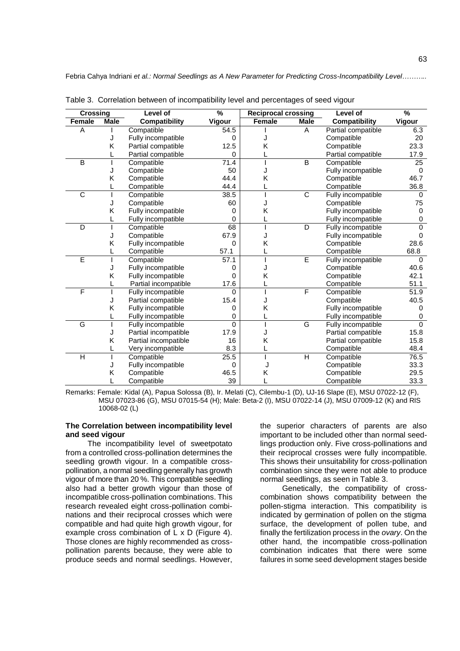| <b>Crossing</b> |             | <b>Level of</b>      | %        | <b>Reciprocal crossing</b> |             | Level of             | %               |
|-----------------|-------------|----------------------|----------|----------------------------|-------------|----------------------|-----------------|
| Female          | <b>Male</b> | <b>Compatibility</b> | Vigour   | Female                     | <b>Male</b> | <b>Compatibility</b> | Vigour          |
| A               |             | Compatible           | 54.5     |                            | A           | Partial compatible   | 6.3             |
|                 | J           | Fully incompatible   | 0        |                            |             | Compatible           | 20              |
|                 | Κ           | Partial compatible   | 12.5     | Κ                          |             | Compatible           | 23.3            |
|                 |             | Partial compatible   | 0        |                            |             | Partial compatible   | 17.9            |
| B               |             | Compatible           | 71.4     |                            | B           | Compatible           | $\overline{25}$ |
|                 | J           | Compatible           | 50       |                            |             | Fully incompatible   | $\mathbf 0$     |
|                 | Κ           | Compatible           | 44.4     | Κ                          |             | Compatible           | 46.7            |
|                 |             | Compatible           | 44.4     |                            |             | Compatible           | 36.8            |
| C               |             | Compatible           | 38.5     |                            | $\mathsf C$ | Fully incompatible   | $\Omega$        |
|                 | J           | Compatible           | 60       |                            |             | Compatible           | 75              |
|                 | Κ           | Fully incompatible   | 0        | Κ                          |             | Fully incompatible   | 0               |
|                 |             | Fully incompatible   | $\Omega$ |                            |             | Fully incompatible   | $\mathbf 0$     |
| D               |             | Compatible           | 68       |                            | D           | Fully incompatible   | $\Omega$        |
|                 | J           | Compatible           | 67.9     |                            |             | Fully incompatible   | $\Omega$        |
|                 | Κ           | Fully incompatible   | 0        | Κ                          |             | Compatible           | 28.6            |
|                 |             | Compatible           | 57.1     |                            |             | Compatible           | 68.8            |
| Ē               |             | Compatible           | 57.1     |                            | Ē           | Fully incompatible   | $\Omega$        |
|                 | J           | Fully incompatible   | 0        |                            |             | Compatible           | 40.6            |
|                 | Κ           | Fully incompatible   | 0        | Κ                          |             | Compatible           | 42.1            |
|                 |             | Partial incompatible | 17.6     |                            |             | Compatible           | 51.1            |
| F               |             | Fully incompatible   | $\Omega$ |                            | $\mathsf F$ | Compatible           | 51.9            |
|                 | J           | Partial compatible   | 15.4     |                            |             | Compatible           | 40.5            |
|                 | Κ           | Fully incompatible   | 0        | Κ                          |             | Fully incompatible   | 0               |
|                 |             | Fully incompatible   | 0        |                            |             | Fully incompatible   | 0               |
| G               |             | Fully incompatible   | 0        |                            | G           | Fully incompatible   | $\mathbf 0$     |
|                 | J           | Partial incompatible | 17.9     |                            |             | Partial compatible   | 15.8            |
|                 | Κ           | Partial incompatible | 16       | Κ                          |             | Partial compatible   | 15.8            |
|                 |             | Very incompatible    | 8.3      |                            |             | Compatible           | 48.4            |
| H               |             | Compatible           | 25.5     |                            | H           | Compatible           | 76.5            |
|                 | J           | Fully incompatible   | 0        |                            |             | Compatible           | 33.3            |
|                 | Κ           | Compatible           | 46.5     | Κ                          |             | Compatible           | 29.5            |
|                 |             | Compatible           | 39       |                            |             | Compatible           | 33.3            |

Table 3. Correlation between of incompatibility level and percentages of seed vigour

Remarks: Female: Kidal (A), Papua Solossa (B), Ir. Melati (C), Cilembu-1 (D), UJ-16 Slape (E), MSU 07022-12 (F), MSU 07023-86 (G), MSU 07015-54 (H); Male: Beta-2 (I), MSU 07022-14 (J), MSU 07009-12 (K) and RIS 10068-02 (L)

## **The Correlation between incompatibility level and seed vigour**

The incompatibility level of sweetpotato from a controlled cross-pollination determines the seedling growth vigour. In a compatible crosspollination, a normal seedling generally has growth vigour of more than 20 %. This compatible seedling also had a better growth vigour than those of incompatible cross-pollination combinations. This research revealed eight cross-pollination combinations and their reciprocal crosses which were compatible and had quite high growth vigour, for example cross combination of L x D (Figure 4). Those clones are highly recommended as crosspollination parents because, they were able to produce seeds and normal seedlings. However, the superior characters of parents are also important to be included other than normal seedlings production only. Five cross-pollinations and their reciprocal crosses were fully incompatible. This shows their unsuitability for cross-pollination combination since they were not able to produce normal seedlings, as seen in Table 3.

Genetically, the compatibility of crosscombination shows compatibility between the pollen-stigma interaction. This compatibility is indicated by germination of pollen on the stigma surface, the development of pollen tube, and finally the fertilization process in the *ovary*. On the other hand, the incompatible cross-pollination combination indicates that there were some failures in some seed development stages beside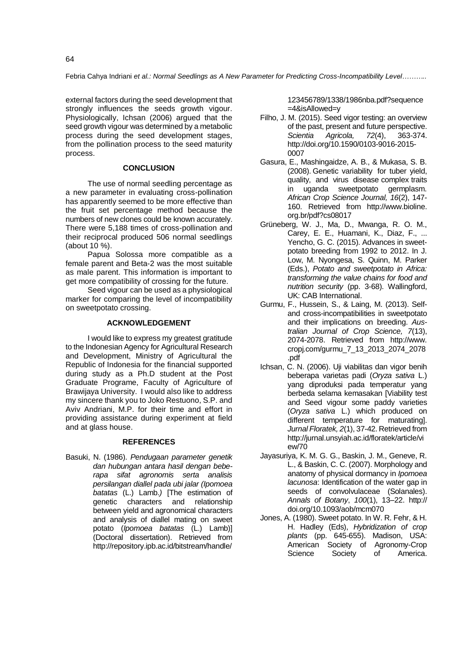external factors during the seed development that strongly influences the seeds growth vigour. Physiologically, Ichsan (2006) argued that the seed growth vigour was determined by a metabolic process during the seed development stages, from the pollination process to the seed maturity process.

## **CONCLUSION**

The use of normal seedling percentage as a new parameter in evaluating cross-pollination has apparently seemed to be more effective than the fruit set percentage method because the numbers of new clones could be known accurately. There were 5,188 times of cross-pollination and their reciprocal produced 506 normal seedlings (about 10 %).

Papua Solossa more compatible as a female parent and Beta-2 was the most suitable as male parent. This information is important to get more compatibility of crossing for the future.

Seed vigour can be used as a physiological marker for comparing the level of incompatibility on sweetpotato crossing.

## **ACKNOWLEDGEMENT**

I would like to express my greatest gratitude to the Indonesian Agency for Agricultural Research and Development, Ministry of Agricultural the Republic of Indonesia for the financial supported during study as a Ph.D student at the Post Graduate Programe, Faculty of Agriculture of Brawijaya University. I would also like to address my sincere thank you to Joko Restuono, S.P. and Aviv Andriani, M.P. for their time and effort in providing assistance during experiment at field and at glass house.

#### **REFERENCES**

Basuki, N. (1986). *Pendugaan parameter genetik dan hubungan antara hasil dengan beberapa sifat agronomis serta analisis persilangan diallel pada ubi jalar (Ipomoea batatas* (L.) Lamb.*)* [The estimation of genetic characters and relationship between yield and agronomical characters and analysis of diallel mating on sweet potato (*Ipomoea batatas* (L.) Lamb)] (Doctoral dissertation). Retrieved from [http://repository.ipb.ac.id/bitstream/handle/](http://repository.ipb.ac.id/bitstream/handle/123456789/1338/1986nba.pdf?sequence=4&isAllowed=y)

[123456789/1338/1986nba.pdf?sequence](http://repository.ipb.ac.id/bitstream/handle/123456789/1338/1986nba.pdf?sequence=4&isAllowed=y)  $=4$ &isAllowed=v

- Filho, J. M. (2015). Seed vigor testing: an overview of the past, present and future perspective. *Scientia Agricola, 72*(4), 363-374. [http://doi.org/10.1590/0103-9016-2015-](http://doi.org/10.1590/0103-9016-2015-0007) [0007](http://doi.org/10.1590/0103-9016-2015-0007)
- Gasura, E., Mashingaidze, A. B., & Mukasa, S. B. (2008). Genetic variability for tuber yield, quality, and virus disease complex traits in uganda sweetpotato germplasm. *African Crop Science Journal, 16*(2), 147- 160. Retrieved from http://www.bioline. org.br/pdf?cs08017
- Grüneberg, W. J., Ma, D., Mwanga, R. O. M., Carey, E. E., Huamani, K., Diaz, F., ... Yencho, G. C. (2015). Advances in sweetpotato breeding from 1992 to 2012. In J. Low, M. Nyongesa, S. Quinn, M. Parker (Eds.), *Potato and sweetpotato in Africa: transforming the value chains for food and nutrition security* (pp. 3-68). Wallingford, UK: CAB International.
- Gurmu, F., Hussein, S., & Laing, M. (2013). Selfand cross-incompatibilities in sweetpotato and their implications on breeding. *Australian Journal of Crop Science, 7*(13), 2074-2078. Retrieved from [http://www.](http://www/) cropj.com/gurmu\_7\_13\_2013\_2074\_2078 .pdf
- Ichsan, C. N. (2006). Uji viabilitas dan vigor benih beberapa varietas padi (*Oryza sativa* L.) yang diproduksi pada temperatur yang berbeda selama kemasakan [Viability test and Seed vigour some paddy varieties (*Oryza sativa* L.) which produced on different temperature for maturating]. *Jurnal Floratek, 2*(1), 37-42. Retrieved from [http://jurnal.unsyiah.ac.id/floratek/article/vi](http://jurnal.unsyiah.ac.id/floratek/article/view/70) [ew/70](http://jurnal.unsyiah.ac.id/floratek/article/view/70)
- Jayasuriya, K. M. G. G., Baskin, J. M., Geneve, R. L., & Baskin, C. C. (2007). Morphology and anatomy of physical dormancy in *Ipomoea lacunosa*: Identification of the water gap in seeds of convolvulaceae (Solanales). *Annals of Botany*, *100*(1), 13–22. http:// doi.org/10.1093/aob/mcm070
- Jones, A. (1980). Sweet potato. In W. R. Fehr, & H. H. Hadley (Eds), *Hybridization of crop plants* (pp. 645-655). Madison, USA: American Society of Agronomy-Crop Science Society of America.

64